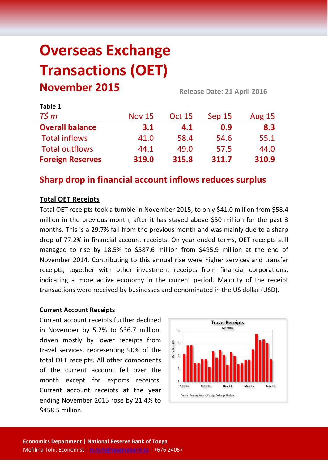# **Overseas Exchange Transactions (OET) November 2015 Release Date: 21 April <sup>2016</sup>**

| LUNIC +                 |               |               |        |               |  |
|-------------------------|---------------|---------------|--------|---------------|--|
| $T\zeta m$              | <b>Nov 15</b> | <b>Oct 15</b> | Sep 15 | <b>Aug 15</b> |  |
| <b>Overall balance</b>  | 3.1           | 4.1           | 0.9    | 8.3           |  |
| <b>Total inflows</b>    | 41.0          | 58.4          | 54.6   | 55.1          |  |
| <b>Total outflows</b>   | 44.1          | 49.0          | 57.5   | 44.0          |  |
| <b>Foreign Reserves</b> | 319.0         | 315.8         | 311.7  | 310.9         |  |

# **Sharp drop in financial account inflows reduces surplus**

# **Total OET Receipts**

**Table 1**

Total OET receipts took a tumble in November 2015, to only \$41.0 million from \$58.4 million in the previous month, after it has stayed above \$50 million for the past 3 months. This is a 29.7% fall from the previous month and was mainly due to a sharp drop of 77.2% in financial account receipts. On year ended terms, OET receipts still managed to rise by 18.5% to \$587.6 million from \$495.9 million at the end of November 2014. Contributing to this annual rise were higher services and transfer receipts, together with other investment receipts from financial corporations, indicating a more active economy in the current period. Majority of the receipt transactions were received by businesses and denominated in the US dollar (USD).

## **Current Account Receipts**

Current account receipts further declined in November by 5.2% to \$36.7 million, driven mostly by lower receipts from travel services, representing 90% of the total OET receipts. All other components of the current account fell over the month except for exports receipts. Current account receipts at the year ending November 2015 rose by 21.4% to \$458.5 million.

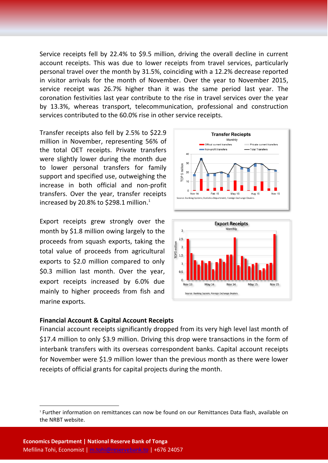Service receipts fell by 22.4% to \$9.5 million, driving the overall decline in current account receipts. This was due to lower receipts from travel services, particularly personal travel over the month by 31.5%, coinciding with a 12.2% decrease reported in visitor arrivals for the month of November. Over the year to November 2015, service receipt was 26.7% higher than it was the same period last year. The coronation festivities last year contribute to the rise in travel services over the year by 13.3%, whereas transport, telecommunication, professional and construction services contributed to the 60.0% rise in other service receipts.

Transfer receipts also fell by 2.5% to \$22.9 million in November, representing 56% of the total OET receipts. Private transfers were slightly lower during the month due to lower personal transfers for family support and specified use, outweighing the increase in both official and non-profit transfers. Over the year, transfer receipts increased by 20.8% to \$298.1 million.<sup>1</sup>

Export receipts grew strongly over the month by \$1.8 million owing largely to the proceeds from squash exports, taking the total value of proceeds from agricultural exports to \$2.0 million compared to only \$0.3 million last month. Over the year, export receipts increased by 6.0% due mainly to higher proceeds from fish and marine exports.





#### **Financial Account & Capital Account Receipts**

Financial account receipts significantly dropped from its very high level last month of \$17.4 million to only \$3.9 million. Driving this drop were transactions in the form of interbank transfers with its overseas correspondent banks. Capital account receipts for November were \$1.9 million lower than the previous month as there were lower receipts of official grants for capital projects during the month.

**.** 

<sup>1</sup> Further information on remittances can now be found on our Remittances Data flash, available on the NRBT website.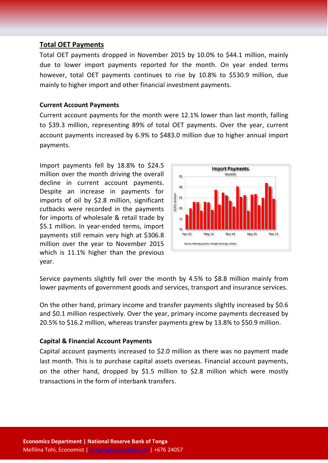# **Total OET Payments**

Total OET payments dropped in November 2015 by 10.0% to \$44.1 million, mainly due to lower import payments reported for the month. On year ended terms however, total OET payments continues to rise by 10.8% to \$530.9 million, due mainly to higher import and other financial investment payments.

### **Current Account Payments**

Current account payments for the month were 12.1% lower than last month, falling to \$39.3 million, representing 89% of total OET payments. Over the year, current account payments increased by 6.9% to \$483.0 million due to higher annual import payments.

Import payments fell by 18.8% to \$24.5 million over the month driving the overall decline in current account payments. Despite an increase in payments for imports of oil by \$2.8 million, significant cutbacks were recorded in the payments for imports of wholesale & retail trade by \$5.1 million. In year-ended terms, import payments still remain very high at \$306.8 million over the year to November 2015 which is 11.1% higher than the previous year.



Service payments slightly fell over the month by 4.5% to \$8.8 million mainly from lower payments of government goods and services, transport and insurance services.

On the other hand, primary income and transfer payments slightly increased by \$0.6 and \$0.1 million respectively. Over the year, primary income payments decreased by 20.5% to \$16.2 million, whereas transfer payments grew by 13.8% to \$50.9 million.

#### **Capital & Financial Account Payments**

Capital account payments increased to \$2.0 million as there was no payment made last month. This is to purchase capital assets overseas. Financial account payments, on the other hand, dropped by \$1.5 million to \$2.8 million which were mostly transactions in the form of interbank transfers.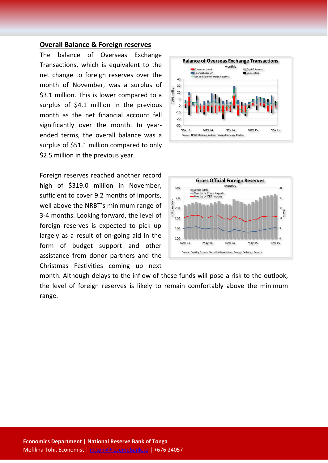#### **Overall Balance & Foreign reserves**

The balance of Overseas Exchange Transactions, which is equivalent to the net change to foreign reserves over the month of November, was a surplus of \$3.1 million. This is lower compared to a surplus of \$4.1 million in the previous month as the net financial account fell significantly over the month. In yearended terms, the overall balance was a surplus of \$51.1 million compared to only \$2.5 million in the previous year.

Foreign reserves reached another record high of \$319.0 million in November, sufficient to cover 9.2 months of imports, well above the NRBT's minimum range of 3-4 months. Looking forward, the level of foreign reserves is expected to pick up largely as a result of on-going aid in the form of budget support and other assistance from donor partners and the Christmas Festivities coming up next





month. Although delays to the inflow of these funds will pose a risk to the outlook, the level of foreign reserves is likely to remain comfortably above the minimum range.